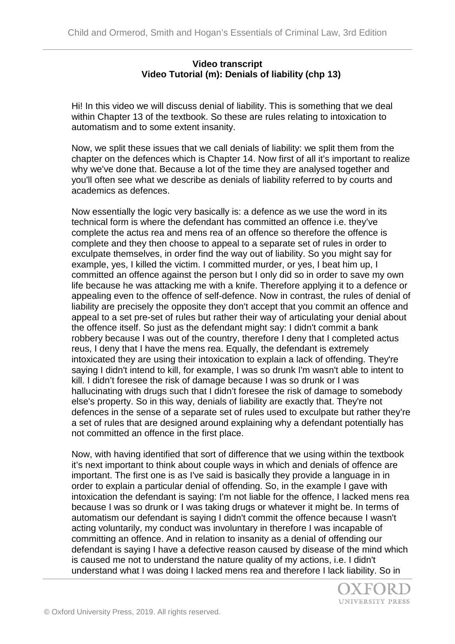## **Video transcript Video Tutorial (m): Denials of liability (chp 13)**

Hi! In this video we will discuss denial of liability. This is something that we deal within Chapter 13 of the textbook. So these are rules relating to intoxication to automatism and to some extent insanity.

Now, we split these issues that we call denials of liability: we split them from the chapter on the defences which is Chapter 14. Now first of all it's important to realize why we've done that. Because a lot of the time they are analysed together and you'll often see what we describe as denials of liability referred to by courts and academics as defences.

Now essentially the logic very basically is: a defence as we use the word in its technical form is where the defendant has committed an offence i.e. they've complete the actus rea and mens rea of an offence so therefore the offence is complete and they then choose to appeal to a separate set of rules in order to exculpate themselves, in order find the way out of liability. So you might say for example, yes, I killed the victim. I committed murder, or yes, I beat him up, I committed an offence against the person but I only did so in order to save my own life because he was attacking me with a knife. Therefore applying it to a defence or appealing even to the offence of self-defence. Now in contrast, the rules of denial of liability are precisely the opposite they don't accept that you commit an offence and appeal to a set pre-set of rules but rather their way of articulating your denial about the offence itself. So just as the defendant might say: I didn't commit a bank robbery because I was out of the country, therefore I deny that I completed actus reus, I deny that I have the mens rea. Equally, the defendant is extremely intoxicated they are using their intoxication to explain a lack of offending. They're saying I didn't intend to kill, for example, I was so drunk I'm wasn't able to intent to kill. I didn't foresee the risk of damage because I was so drunk or I was hallucinating with drugs such that I didn't foresee the risk of damage to somebody else's property. So in this way, denials of liability are exactly that. They're not defences in the sense of a separate set of rules used to exculpate but rather they're a set of rules that are designed around explaining why a defendant potentially has not committed an offence in the first place.

Now, with having identified that sort of difference that we using within the textbook it's next important to think about couple ways in which and denials of offence are important. The first one is as I've said is basically they provide a language in in order to explain a particular denial of offending. So, in the example I gave with intoxication the defendant is saying: I'm not liable for the offence, I lacked mens rea because I was so drunk or I was taking drugs or whatever it might be. In terms of automatism our defendant is saying I didn't commit the offence because I wasn't acting voluntarily, my conduct was involuntary in therefore I was incapable of committing an offence. And in relation to insanity as a denial of offending our defendant is saying I have a defective reason caused by disease of the mind which is caused me not to understand the nature quality of my actions, i.e. I didn't understand what I was doing I lacked mens rea and therefore I lack liability. So in